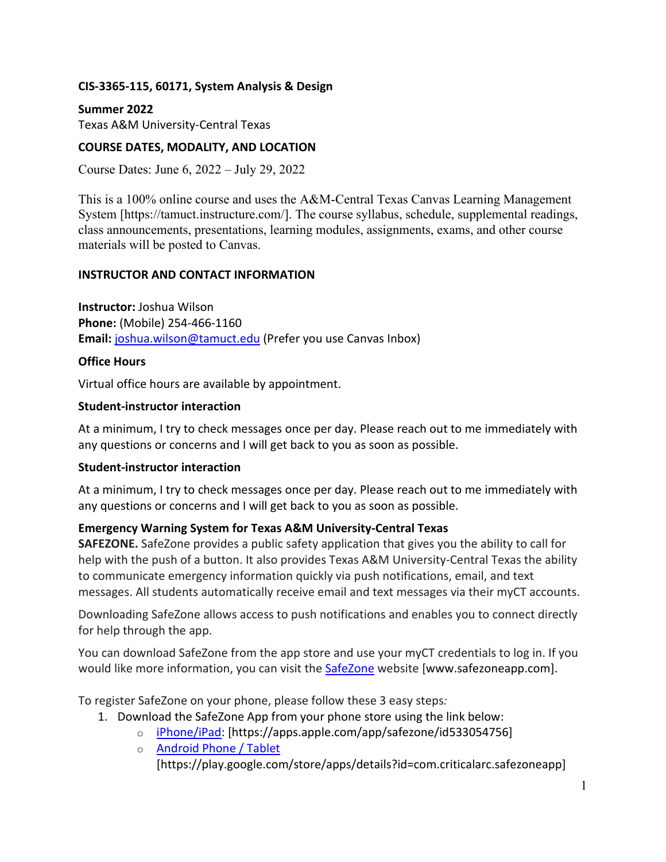### **CIS-3365-115, 60171, System Analysis & Design**

**Summer 2022**  Texas A&M University-Central Texas

### **COURSE DATES, MODALITY, AND LOCATION**

Course Dates: June 6, 2022 – July 29, 2022

This is a 100% online course and uses the A&M-Central Texas Canvas Learning Management System [https://tamuct.instructure.com/]. The course syllabus, schedule, supplemental readings, class announcements, presentations, learning modules, assignments, exams, and other course materials will be posted to Canvas.

### **INSTRUCTOR AND CONTACT INFORMATION**

**Instructor:** Joshua Wilson **Phone:** (Mobile) 254-466-1160 **Email:** [joshua.wilson@tamuct.edu](mailto:joshua.wilson@tamuct.edu) (Prefer you use Canvas Inbox)

#### **Office Hours**

Virtual office hours are available by appointment.

### **Student-instructor interaction**

At a minimum, I try to check messages once per day. Please reach out to me immediately with any questions or concerns and I will get back to you as soon as possible.

#### **Student-instructor interaction**

At a minimum, I try to check messages once per day. Please reach out to me immediately with any questions or concerns and I will get back to you as soon as possible.

## **Emergency Warning System for Texas A&M University-Central Texas**

**SAFEZONE.** SafeZone provides a public safety application that gives you the ability to call for help with the push of a button. It also provides Texas A&M University-Central Texas the ability to communicate emergency information quickly via push notifications, email, and text messages. All students automatically receive email and text messages via their myCT accounts.

Downloading SafeZone allows access to push notifications and enables you to connect directly for help through the app.

You can download SafeZone from the app store and use your myCT credentials to log in. If you would like more information, you can visit the [SafeZone](http://www.safezoneapp.com/) website [www.safezoneapp.com].

To register SafeZone on your phone, please follow these 3 easy steps*:* 

- 1. Download the SafeZone App from your phone store using the link below:
	- o [iPhone/iPad:](https://apps.apple.com/app/safezone/id533054756) [https://apps.apple.com/app/safezone/id533054756]
		- o [Android Phone / Tablet](https://play.google.com/store/apps/details?id=com.criticalarc.safezoneapp)
			- [https://play.google.com/store/apps/details?id=com.criticalarc.safezoneapp]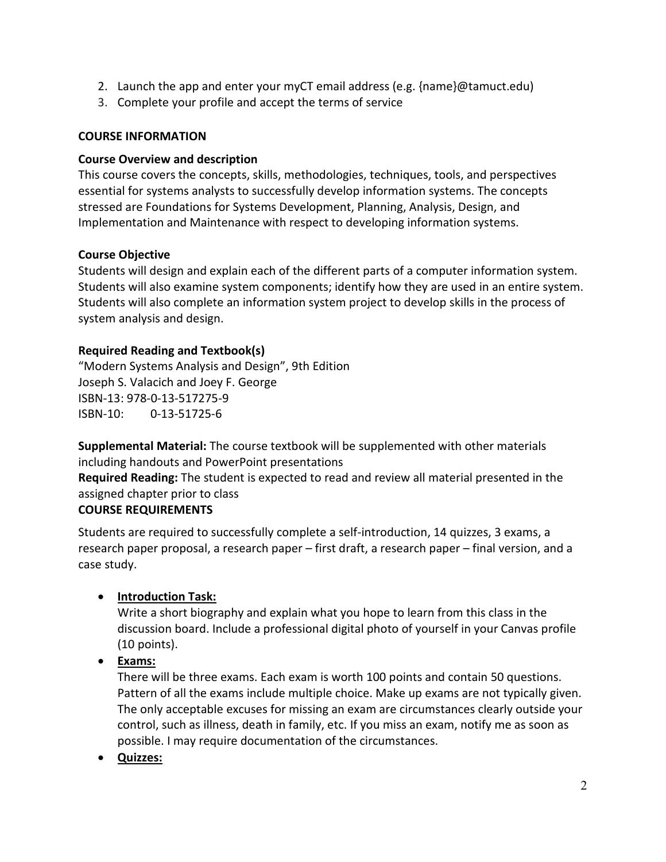- 2. Launch the app and enter your myCT email address (e.g. {name}@tamuct.edu)
- 3. Complete your profile and accept the terms of service

### **COURSE INFORMATION**

### **Course Overview and description**

This course covers the concepts, skills, methodologies, techniques, tools, and perspectives essential for systems analysts to successfully develop information systems. The concepts stressed are Foundations for Systems Development, Planning, Analysis, Design, and Implementation and Maintenance with respect to developing information systems.

### **Course Objective**

Students will design and explain each of the different parts of a computer information system. Students will also examine system components; identify how they are used in an entire system. Students will also complete an information system project to develop skills in the process of system analysis and design.

## **Required Reading and Textbook(s)**

"Modern Systems Analysis and Design", 9th Edition Joseph S. Valacich and Joey F. George ISBN-13: 978-0-13-517275-9 ISBN-10: 0-13-51725-6

**Supplemental Material:** The course textbook will be supplemented with other materials including handouts and PowerPoint presentations

**Required Reading:** The student is expected to read and review all material presented in the assigned chapter prior to class

#### **COURSE REQUIREMENTS**

Students are required to successfully complete a self-introduction, 14 quizzes, 3 exams, a research paper proposal, a research paper – first draft, a research paper – final version, and a case study.

## • **Introduction Task:**

Write a short biography and explain what you hope to learn from this class in the discussion board. Include a professional digital photo of yourself in your Canvas profile (10 points).

• **Exams:**

There will be three exams. Each exam is worth 100 points and contain 50 questions. Pattern of all the exams include multiple choice. Make up exams are not typically given. The only acceptable excuses for missing an exam are circumstances clearly outside your control, such as illness, death in family, etc. If you miss an exam, notify me as soon as possible. I may require documentation of the circumstances.

• **Quizzes:**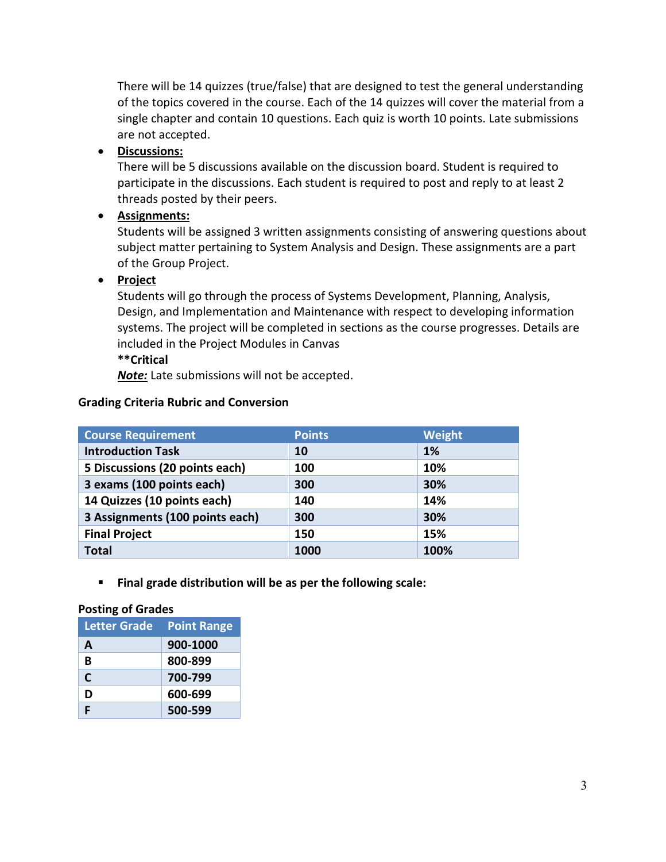There will be 14 quizzes (true/false) that are designed to test the general understanding of the topics covered in the course. Each of the 14 quizzes will cover the material from a single chapter and contain 10 questions. Each quiz is worth 10 points. Late submissions are not accepted.

## • **Discussions:**

There will be 5 discussions available on the discussion board. Student is required to participate in the discussions. Each student is required to post and reply to at least 2 threads posted by their peers.

# • **Assignments:**

Students will be assigned 3 written assignments consisting of answering questions about subject matter pertaining to System Analysis and Design. These assignments are a part of the Group Project.

## • **Project**

Students will go through the process of Systems Development, Planning, Analysis, Design, and Implementation and Maintenance with respect to developing information systems. The project will be completed in sections as the course progresses. Details are included in the Project Modules in Canvas

## **\*\*Critical**

*Note:* Late submissions will not be accepted.

## **Grading Criteria Rubric and Conversion**

| <b>Course Requirement</b>       | <b>Points</b> | Weight |
|---------------------------------|---------------|--------|
| <b>Introduction Task</b>        | 10            | 1%     |
| 5 Discussions (20 points each)  | 100           | 10%    |
| 3 exams (100 points each)       | 300           | 30%    |
| 14 Quizzes (10 points each)     | 140           | 14%    |
| 3 Assignments (100 points each) | 300           | 30%    |
| <b>Final Project</b>            | 150           | 15%    |
| <b>Total</b>                    | 1000          | 100%   |

**Final grade distribution will be as per the following scale:** 

#### **Posting of Grades**

| <b>Letter Grade</b> | <b>Point Range</b> |
|---------------------|--------------------|
| A                   | 900-1000           |
| B                   | 800-899            |
| C                   | 700-799            |
| D                   | 600-699            |
| F                   | 500-599            |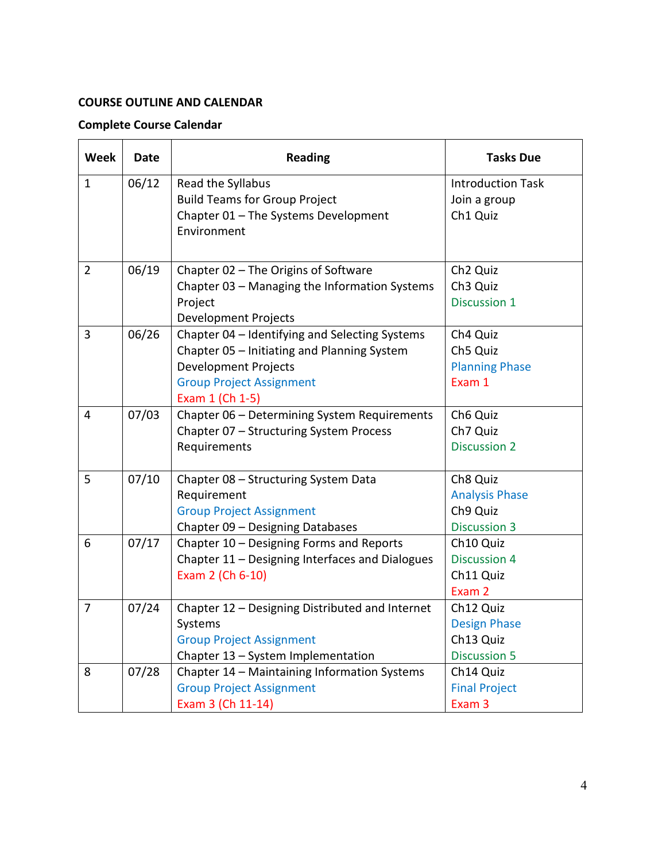## **COURSE OUTLINE AND CALENDAR**

# **Complete Course Calendar**

| <b>Week</b>    | <b>Date</b> | <b>Reading</b>                                  | <b>Tasks Due</b>         |
|----------------|-------------|-------------------------------------------------|--------------------------|
| $\mathbf{1}$   | 06/12       | Read the Syllabus                               | <b>Introduction Task</b> |
|                |             | <b>Build Teams for Group Project</b>            | Join a group             |
|                |             | Chapter 01 - The Systems Development            | Ch1 Quiz                 |
|                |             | Environment                                     |                          |
|                |             |                                                 |                          |
| $\overline{2}$ | 06/19       | Chapter 02 - The Origins of Software            | Ch <sub>2</sub> Quiz     |
|                |             | Chapter 03 - Managing the Information Systems   | Ch <sub>3</sub> Quiz     |
|                |             | Project                                         | <b>Discussion 1</b>      |
|                |             | <b>Development Projects</b>                     |                          |
| 3              | 06/26       | Chapter 04 - Identifying and Selecting Systems  | Ch4 Quiz                 |
|                |             | Chapter 05 - Initiating and Planning System     | Ch5 Quiz                 |
|                |             | <b>Development Projects</b>                     | <b>Planning Phase</b>    |
|                |             | <b>Group Project Assignment</b>                 | Exam 1                   |
|                |             | Exam 1 (Ch 1-5)                                 |                          |
| 4              | 07/03       | Chapter 06 - Determining System Requirements    | Ch6 Quiz                 |
|                |             | Chapter 07 - Structuring System Process         | Ch7 Quiz                 |
|                |             | Requirements                                    | <b>Discussion 2</b>      |
| 5              | 07/10       | Chapter 08 - Structuring System Data            | Ch8 Quiz                 |
|                |             | Requirement                                     | <b>Analysis Phase</b>    |
|                |             | <b>Group Project Assignment</b>                 | Ch9 Quiz                 |
|                |             | Chapter 09 - Designing Databases                | <b>Discussion 3</b>      |
| 6              | 07/17       | Chapter 10 - Designing Forms and Reports        | Ch10 Quiz                |
|                |             | Chapter 11 - Designing Interfaces and Dialogues | <b>Discussion 4</b>      |
|                |             | Exam 2 (Ch 6-10)                                | Ch11 Quiz                |
|                |             |                                                 | Exam 2                   |
| 7              | 07/24       | Chapter 12 - Designing Distributed and Internet | Ch12 Quiz                |
|                |             | Systems                                         | <b>Design Phase</b>      |
|                |             | <b>Group Project Assignment</b>                 | Ch13 Quiz                |
|                |             | Chapter 13 - System Implementation              | <b>Discussion 5</b>      |
| 8              | 07/28       | Chapter 14 - Maintaining Information Systems    | Ch14 Quiz                |
|                |             | <b>Group Project Assignment</b>                 | <b>Final Project</b>     |
|                |             | Exam 3 (Ch 11-14)                               | Exam 3                   |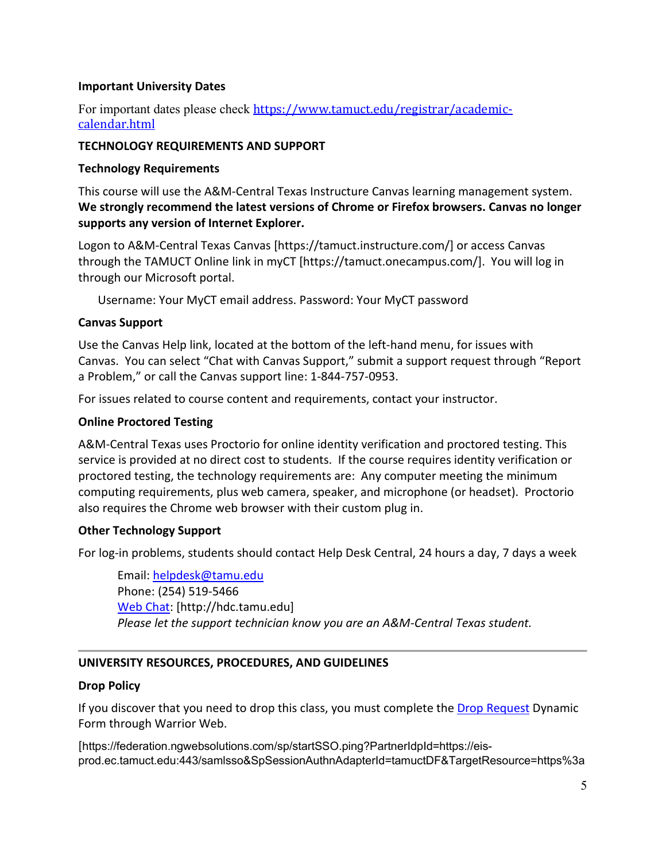### **Important University Dates**

For important dates please check [https://www.tamuct.edu/registrar/academic](https://www.tamuct.edu/registrar/academic-calendar.html)[calendar.html](https://www.tamuct.edu/registrar/academic-calendar.html)

### **TECHNOLOGY REQUIREMENTS AND SUPPORT**

#### **Technology Requirements**

This course will use the A&M-Central Texas Instructure Canvas learning management system. **We strongly recommend the latest versions of Chrome or Firefox browsers. Canvas no longer supports any version of Internet Explorer.**

Logon to A&M-Central Texas Canvas [https://tamuct.instructure.com/] or access Canvas through the TAMUCT Online link in myCT [https://tamuct.onecampus.com/]. You will log in through our Microsoft portal.

Username: Your MyCT email address. Password: Your MyCT password

### **Canvas Support**

Use the Canvas Help link, located at the bottom of the left-hand menu, for issues with Canvas. You can select "Chat with Canvas Support," submit a support request through "Report a Problem," or call the Canvas support line: 1-844-757-0953.

For issues related to course content and requirements, contact your instructor.

### **Online Proctored Testing**

A&M-Central Texas uses Proctorio for online identity verification and proctored testing. This service is provided at no direct cost to students. If the course requires identity verification or proctored testing, the technology requirements are: Any computer meeting the minimum computing requirements, plus web camera, speaker, and microphone (or headset). Proctorio also requires the Chrome web browser with their custom plug in.

## **Other Technology Support**

For log-in problems, students should contact Help Desk Central, 24 hours a day, 7 days a week

Email: [helpdesk@tamu.edu](mailto:helpdesk@tamu.edu) Phone: (254) 519-5466 [Web Chat:](http://hdc.tamu.edu/) [http://hdc.tamu.edu] *Please let the support technician know you are an A&M-Central Texas student.*

## **UNIVERSITY RESOURCES, PROCEDURES, AND GUIDELINES**

## **Drop Policy**

If you discover that you need to drop this class, you must complete the [Drop Request](https://federation.ngwebsolutions.com/sp/startSSO.ping?PartnerIdpId=https://eis-prod.ec.tamuct.edu:443/samlsso&SpSessionAuthnAdapterId=tamuctDF&TargetResource=https%3a%2f%2fdynamicforms.ngwebsolutions.com%2fSubmit%2fStart%2f53b8369e-0502-4f36-be43-f02a4202f612) Dynamic Form through Warrior Web.

[https://federation.ngwebsolutions.com/sp/startSSO.ping?PartnerIdpId=https://eisprod.ec.tamuct.edu:443/samlsso&SpSessionAuthnAdapterId=tamuctDF&TargetResource=https%3a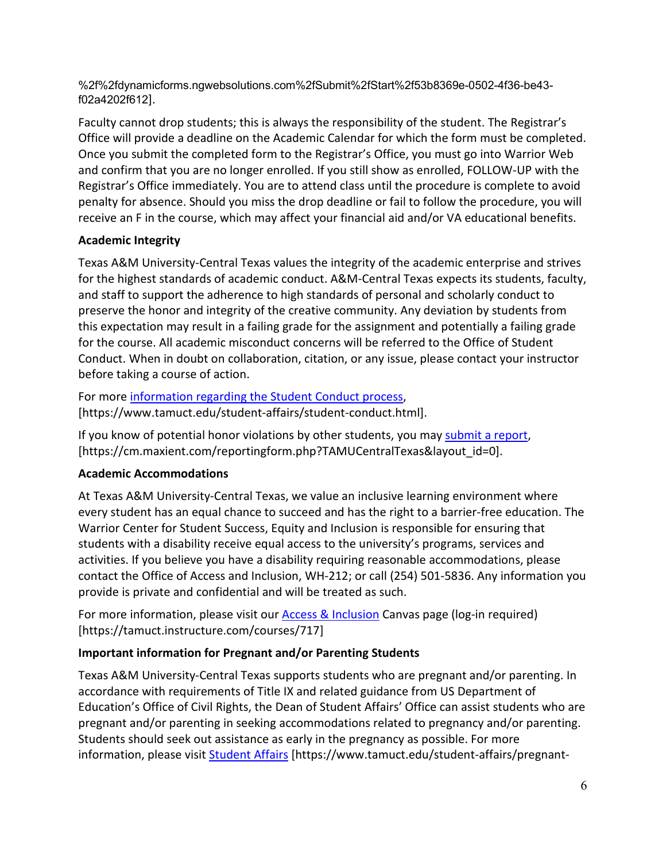%2f%2fdynamicforms.ngwebsolutions.com%2fSubmit%2fStart%2f53b8369e-0502-4f36-be43 f02a4202f612].

Faculty cannot drop students; this is always the responsibility of the student. The Registrar's Office will provide a deadline on the Academic Calendar for which the form must be completed. Once you submit the completed form to the Registrar's Office, you must go into Warrior Web and confirm that you are no longer enrolled. If you still show as enrolled, FOLLOW-UP with the Registrar's Office immediately. You are to attend class until the procedure is complete to avoid penalty for absence. Should you miss the drop deadline or fail to follow the procedure, you will receive an F in the course, which may affect your financial aid and/or VA educational benefits.

## **Academic Integrity**

Texas A&M University-Central Texas values the integrity of the academic enterprise and strives for the highest standards of academic conduct. A&M-Central Texas expects its students, faculty, and staff to support the adherence to high standards of personal and scholarly conduct to preserve the honor and integrity of the creative community. Any deviation by students from this expectation may result in a failing grade for the assignment and potentially a failing grade for the course. All academic misconduct concerns will be referred to the Office of Student Conduct. When in doubt on collaboration, citation, or any issue, please contact your instructor before taking a course of action.

For more [information](https://nam04.safelinks.protection.outlook.com/?url=https%3A%2F%2Fwww.tamuct.edu%2Fstudent-affairs%2Fstudent-conduct.html&data=04%7C01%7Clisa.bunkowski%40tamuct.edu%7Ccfb6e486f24745f53e1a08d910055cb2%7C9eed4e3000f744849ff193ad8005acec%7C0%7C0%7C637558437485252160%7CUnknown%7CTWFpbGZsb3d8eyJWIjoiMC4wLjAwMDAiLCJQIjoiV2luMzIiLCJBTiI6Ik1haWwiLCJXVCI6Mn0%3D%7C1000&sdata=yjftDEVHvLX%2FhM%2FcFU0B99krV1RgEWR%2BJ%2BhvtoR6TYk%3D&reserved=0) regarding the Student Conduct process, [https://www.tamuct.edu/student-affairs/student-conduct.html].

If you know of potential honor violations by other students, you may [submit a report,](https://nam04.safelinks.protection.outlook.com/?url=https%3A%2F%2Fcm.maxient.com%2Freportingform.php%3FTAMUCentralTexas%26layout_id%3D0&data=04%7C01%7Clisa.bunkowski%40tamuct.edu%7Ccfb6e486f24745f53e1a08d910055cb2%7C9eed4e3000f744849ff193ad8005acec%7C0%7C0%7C637558437485262157%7CUnknown%7CTWFpbGZsb3d8eyJWIjoiMC4wLjAwMDAiLCJQIjoiV2luMzIiLCJBTiI6Ik1haWwiLCJXVCI6Mn0%3D%7C1000&sdata=CXGkOa6uPDPX1IMZ87z3aZDq2n91xfHKu4MMS43Ejjk%3D&reserved=0) [https://cm.maxient.com/reportingform.php?TAMUCentralTexas&layout\_id=0].

# **Academic Accommodations**

At Texas A&M University-Central Texas, we value an inclusive learning environment where every student has an equal chance to succeed and has the right to a barrier-free education. The Warrior Center for Student Success, Equity and Inclusion is responsible for ensuring that students with a disability receive equal access to the university's programs, services and activities. If you believe you have a disability requiring reasonable accommodations, please contact the Office of Access and Inclusion, WH-212; or call (254) 501-5836. Any information you provide is private and confidential and will be treated as such.

For more information, please visit our **Access & Inclusion Canvas page (log-in required)** [https://tamuct.instructure.com/courses/717]

# **Important information for Pregnant and/or Parenting Students**

Texas A&M University-Central Texas supports students who are pregnant and/or parenting. In accordance with requirements of Title IX and related guidance from US Department of Education's Office of Civil Rights, the Dean of Student Affairs' Office can assist students who are pregnant and/or parenting in seeking accommodations related to pregnancy and/or parenting. Students should seek out assistance as early in the pregnancy as possible. For more information, please visit [Student Affairs](https://www.tamuct.edu/student-affairs/pregnant-and-parenting-students.html) [https://www.tamuct.edu/student-affairs/pregnant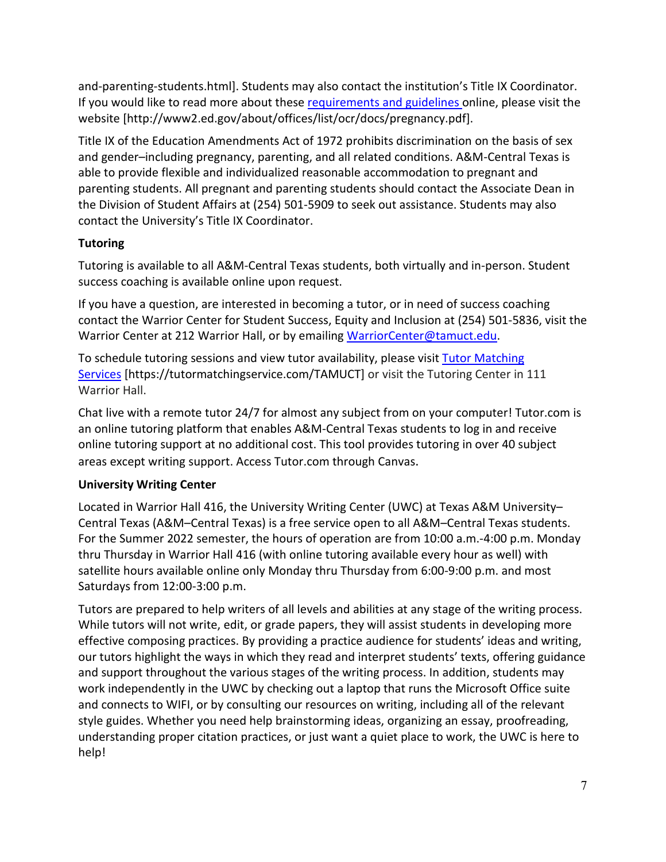and-parenting-students.html]. Students may also contact the institution's Title IX Coordinator. If you would like to read more about thes[e requirements and guidelines](http://www2.ed.gov/about/offices/list/ocr/docs/pregnancy.pdf) online, please visit the website [http://www2.ed.gov/about/offices/list/ocr/docs/pregnancy.pdf].

Title IX of the Education Amendments Act of 1972 prohibits discrimination on the basis of sex and gender–including pregnancy, parenting, and all related conditions. A&M-Central Texas is able to provide flexible and individualized reasonable accommodation to pregnant and parenting students. All pregnant and parenting students should contact the Associate Dean in the Division of Student Affairs at (254) 501-5909 to seek out assistance. Students may also contact the University's Title IX Coordinator.

# **Tutoring**

Tutoring is available to all A&M-Central Texas students, both virtually and in-person. Student success coaching is available online upon request.

If you have a question, are interested in becoming a tutor, or in need of success coaching contact the Warrior Center for Student Success, Equity and Inclusion at (254) 501-5836, visit the Warrior Center at 212 Warrior Hall, or by emailing [WarriorCenter@tamuct.edu.](mailto:WarriorCenter@tamuct.edu)

To schedule tutoring sessions and view tutor availability, please visit Tutor [Matching](https://tutormatchingservice.com/TAMUCT) [Services](https://tutormatchingservice.com/TAMUCT) [https://tutormatchingservice.com/TAMUCT] or visit the Tutoring Center in 111 Warrior Hall.

Chat live with a remote tutor 24/7 for almost any subject from on your computer! Tutor.com is an online tutoring platform that enables A&M-Central Texas students to log in and receive online tutoring support at no additional cost. This tool provides tutoring in over 40 subject areas except writing support. Access Tutor.com through Canvas.

# **University Writing Center**

Located in Warrior Hall 416, the University Writing Center (UWC) at Texas A&M University– Central Texas (A&M–Central Texas) is a free service open to all A&M–Central Texas students. For the Summer 2022 semester, the hours of operation are from 10:00 a.m.-4:00 p.m. Monday thru Thursday in Warrior Hall 416 (with online tutoring available every hour as well) with satellite hours available online only Monday thru Thursday from 6:00-9:00 p.m. and most Saturdays from 12:00-3:00 p.m.

Tutors are prepared to help writers of all levels and abilities at any stage of the writing process. While tutors will not write, edit, or grade papers, they will assist students in developing more effective composing practices. By providing a practice audience for students' ideas and writing, our tutors highlight the ways in which they read and interpret students' texts, offering guidance and support throughout the various stages of the writing process. In addition, students may work independently in the UWC by checking out a laptop that runs the Microsoft Office suite and connects to WIFI, or by consulting our resources on writing, including all of the relevant style guides. Whether you need help brainstorming ideas, organizing an essay, proofreading, understanding proper citation practices, or just want a quiet place to work, the UWC is here to help!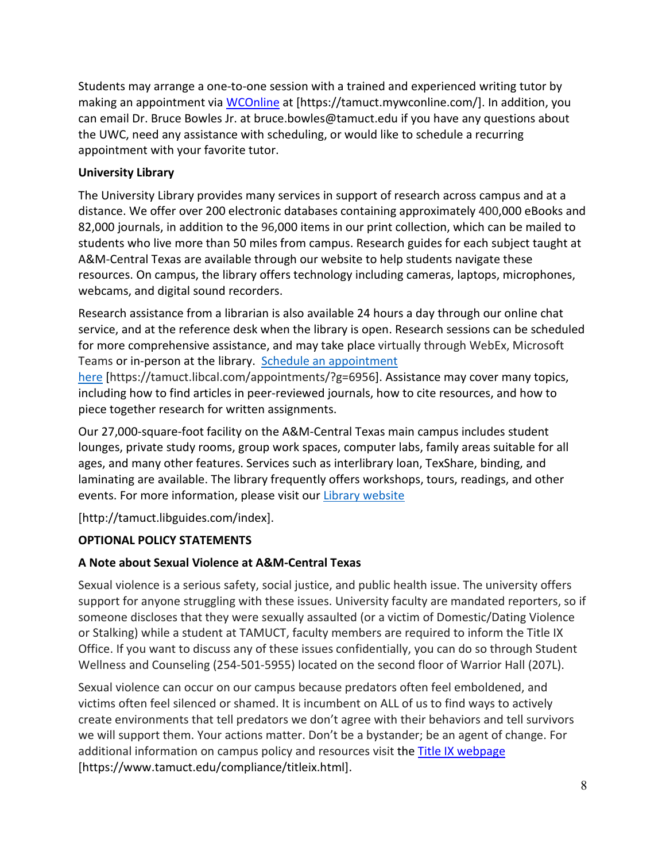Students may arrange a one-to-one session with a trained and experienced writing tutor by making an appointment via [WCOnline](https://tamuct.mywconline.com/) at [https://tamuct.mywconline.com/]. In addition, you can email Dr. Bruce Bowles Jr. at bruce.bowles@tamuct.edu if you have any questions about the UWC, need any assistance with scheduling, or would like to schedule a recurring appointment with your favorite tutor.

## **University Library**

The University Library provides many services in support of research across campus and at a distance. We offer over 200 electronic databases containing approximately 400,000 eBooks and 82,000 journals, in addition to the 96,000 items in our print collection, which can be mailed to students who live more than 50 miles from campus. Research guides for each subject taught at A&M-Central Texas are available through our website to help students navigate these resources. On campus, the library offers technology including cameras, laptops, microphones, webcams, and digital sound recorders.

Research assistance from a librarian is also available 24 hours a day through our online chat service, and at the reference desk when the library is open. Research sessions can be scheduled for more comprehensive assistance, and may take place virtually through WebEx, Microsoft Teams or in-person at the library. Schedule an [appointment](https://nam04.safelinks.protection.outlook.com/?url=https%3A%2F%2Ftamuct.libcal.com%2Fappointments%2F%3Fg%3D6956&data=04%7C01%7Clisa.bunkowski%40tamuct.edu%7Cde2c07d9f5804f09518008d9ab7ba6ff%7C9eed4e3000f744849ff193ad8005acec%7C0%7C0%7C637729369835011558%7CUnknown%7CTWFpbGZsb3d8eyJWIjoiMC4wLjAwMDAiLCJQIjoiV2luMzIiLCJBTiI6Ik1haWwiLCJXVCI6Mn0%3D%7C3000&sdata=KhtjgRSAw9aq%2FoBsB6wyu8b7PSuGN5EGPypzr3Ty2No%3D&reserved=0)

[here](https://nam04.safelinks.protection.outlook.com/?url=https%3A%2F%2Ftamuct.libcal.com%2Fappointments%2F%3Fg%3D6956&data=04%7C01%7Clisa.bunkowski%40tamuct.edu%7Cde2c07d9f5804f09518008d9ab7ba6ff%7C9eed4e3000f744849ff193ad8005acec%7C0%7C0%7C637729369835011558%7CUnknown%7CTWFpbGZsb3d8eyJWIjoiMC4wLjAwMDAiLCJQIjoiV2luMzIiLCJBTiI6Ik1haWwiLCJXVCI6Mn0%3D%7C3000&sdata=KhtjgRSAw9aq%2FoBsB6wyu8b7PSuGN5EGPypzr3Ty2No%3D&reserved=0) [https://tamuct.libcal.com/appointments/?g=6956]. Assistance may cover many topics, including how to find articles in peer-reviewed journals, how to cite resources, and how to piece together research for written assignments.

Our 27,000-square-foot facility on the A&M-Central Texas main campus includes student lounges, private study rooms, group work spaces, computer labs, family areas suitable for all ages, and many other features. Services such as interlibrary loan, TexShare, binding, and laminating are available. The library frequently offers workshops, tours, readings, and other events. For more information, please visit our Library website

[http://tamuct.libguides.com/index].

# **OPTIONAL POLICY STATEMENTS**

# **A Note about Sexual Violence at A&M-Central Texas**

Sexual violence is a serious safety, social justice, and public health issue. The university offers support for anyone struggling with these issues. University faculty are mandated reporters, so if someone discloses that they were sexually assaulted (or a victim of Domestic/Dating Violence or Stalking) while a student at TAMUCT, faculty members are required to inform the Title IX Office. If you want to discuss any of these issues confidentially, you can do so through Student Wellness and Counseling (254-501-5955) located on the second floor of Warrior Hall (207L).

Sexual violence can occur on our campus because predators often feel emboldened, and victims often feel silenced or shamed. It is incumbent on ALL of us to find ways to actively create environments that tell predators we don't agree with their behaviors and tell survivors we will support them. Your actions matter. Don't be a bystander; be an agent of change. For additional information on campus policy and resources visit the [Title IX webpage](https://www.tamuct.edu/compliance/titleix.html) [\[https://www.tamuct.edu/compliance/titleix.html\]](https://www.tamuct.edu/compliance/titleix.html).